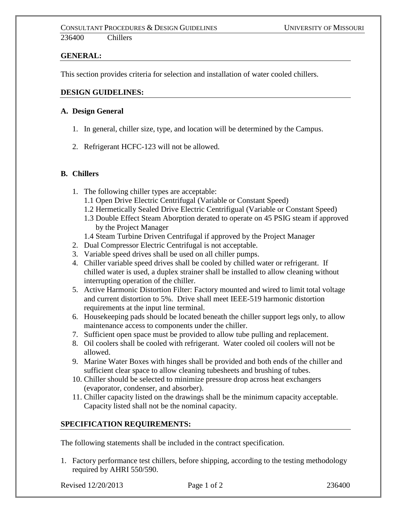### **GENERAL:**

This section provides criteria for selection and installation of water cooled chillers.

#### **DESIGN GUIDELINES:**

#### **A. Design General**

- 1. In general, chiller size, type, and location will be determined by the Campus.
- 2. Refrigerant HCFC-123 will not be allowed.

#### **B. Chillers**

- 1. The following chiller types are acceptable:
	- 1.1 Open Drive Electric Centrifugal (Variable or Constant Speed)
	- 1.2 Hermetically Sealed Drive Electric Centrifigual (Variable or Constant Speed)
	- 1.3 Double Effect Steam Aborption derated to operate on 45 PSIG steam if approved by the Project Manager
	- 1.4 Steam Turbine Driven Centrifugal if approved by the Project Manager
- 2. Dual Compressor Electric Centrifugal is not acceptable.
- 3. Variable speed drives shall be used on all chiller pumps.
- 4. Chiller variable speed drives shall be cooled by chilled water or refrigerant. If chilled water is used, a duplex strainer shall be installed to allow cleaning without interrupting operation of the chiller.
- 5. Active Harmonic Distortion Filter: Factory mounted and wired to limit total voltage and current distortion to 5%. Drive shall meet IEEE-519 harmonic distortion requirements at the input line terminal.
- 6. Housekeeping pads should be located beneath the chiller support legs only, to allow maintenance access to components under the chiller.
- 7. Sufficient open space must be provided to allow tube pulling and replacement.
- 8. Oil coolers shall be cooled with refrigerant. Water cooled oil coolers will not be allowed.
- 9. Marine Water Boxes with hinges shall be provided and both ends of the chiller and sufficient clear space to allow cleaning tubesheets and brushing of tubes.
- 10. Chiller should be selected to minimize pressure drop across heat exchangers (evaporator, condenser, and absorber).
- 11. Chiller capacity listed on the drawings shall be the minimum capacity acceptable. Capacity listed shall not be the nominal capacity.

## **SPECIFICATION REQUIREMENTS:**

The following statements shall be included in the contract specification.

1. Factory performance test chillers, before shipping, according to the testing methodology required by AHRI 550/590.

Revised 12/20/2013 **Page 1 of 2** 236400